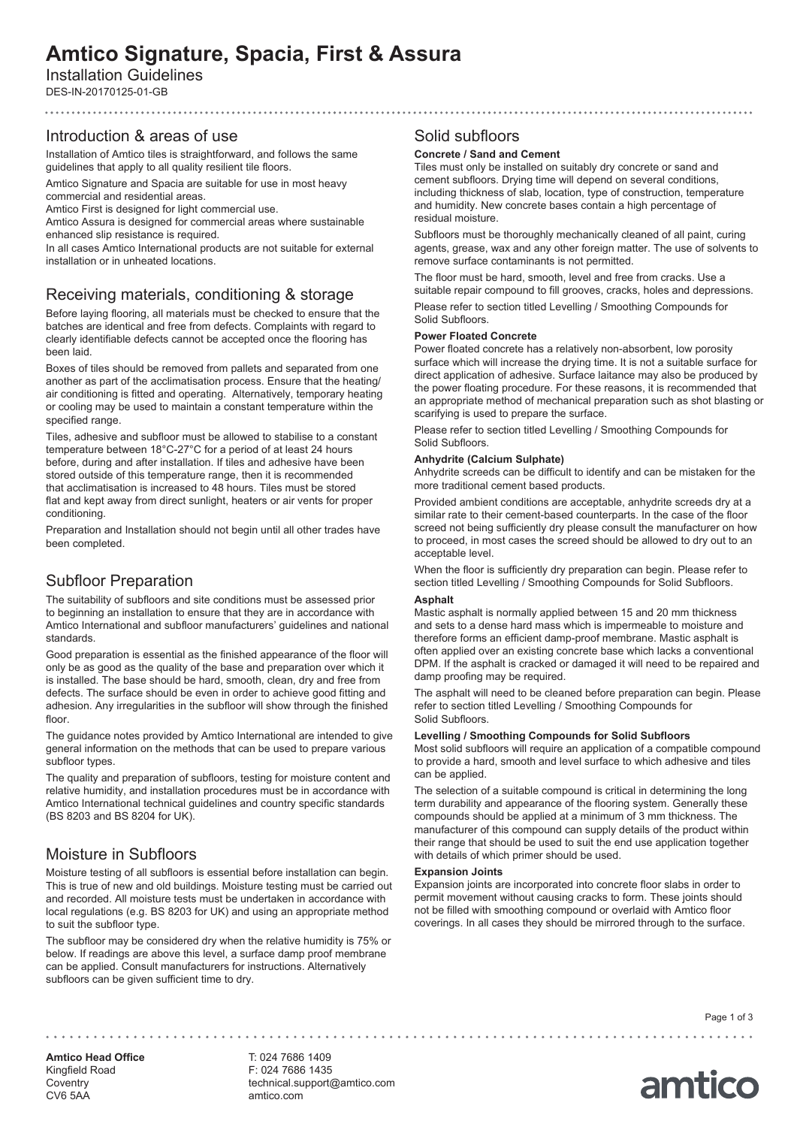# **Amtico Signature, Spacia, First & Assura**

# Installation Guidelines

DES-IN-20170125-01-GB

### Introduction & areas of use

Installation of Amtico tiles is straightforward, and follows the same guidelines that apply to all quality resilient tile floors.

Amtico Signature and Spacia are suitable for use in most heavy commercial and residential areas.

Amtico First is designed for light commercial use.

Amtico Assura is designed for commercial areas where sustainable enhanced slip resistance is required.

In all cases Amtico International products are not suitable for external installation or in unheated locations.

# Receiving materials, conditioning & storage

Before laying flooring, all materials must be checked to ensure that the batches are identical and free from defects. Complaints with regard to clearly identifiable defects cannot be accepted once the flooring has been laid.

Boxes of tiles should be removed from pallets and separated from one another as part of the acclimatisation process. Ensure that the heating/ air conditioning is fitted and operating. Alternatively, temporary heating or cooling may be used to maintain a constant temperature within the specified range.

Tiles, adhesive and subfloor must be allowed to stabilise to a constant temperature between 18°C-27°C for a period of at least 24 hours before, during and after installation. If tiles and adhesive have been stored outside of this temperature range, then it is recommended that acclimatisation is increased to 48 hours. Tiles must be stored flat and kept away from direct sunlight, heaters or air vents for proper conditioning.

Preparation and Installation should not begin until all other trades have been completed.

# Subfloor Preparation

The suitability of subfloors and site conditions must be assessed prior to beginning an installation to ensure that they are in accordance with Amtico International and subfloor manufacturers' guidelines and national standards.

Good preparation is essential as the finished appearance of the floor will only be as good as the quality of the base and preparation over which it is installed. The base should be hard, smooth, clean, dry and free from defects. The surface should be even in order to achieve good fitting and adhesion. Any irregularities in the subfloor will show through the finished floor

The guidance notes provided by Amtico International are intended to give general information on the methods that can be used to prepare various subfloor types.

The quality and preparation of subfloors, testing for moisture content and relative humidity, and installation procedures must be in accordance with Amtico International technical guidelines and country specific standards (BS 8203 and BS 8204 for UK).

# Moisture in Subfloors

Moisture testing of all subfloors is essential before installation can begin. This is true of new and old buildings. Moisture testing must be carried out and recorded. All moisture tests must be undertaken in accordance with local regulations (e.g. BS 8203 for UK) and using an appropriate method to suit the subfloor type.

The subfloor may be considered dry when the relative humidity is 75% or below. If readings are above this level, a surface damp proof membrane can be applied. Consult manufacturers for instructions. Alternatively subfloors can be given sufficient time to dry.

### Solid subfloors

### **Concrete / Sand and Cement**

Tiles must only be installed on suitably dry concrete or sand and cement subfloors. Drying time will depend on several conditions, including thickness of slab, location, type of construction, temperature and humidity. New concrete bases contain a high percentage of residual moisture.

Subfloors must be thoroughly mechanically cleaned of all paint, curing agents, grease, wax and any other foreign matter. The use of solvents to remove surface contaminants is not permitted.

The floor must be hard, smooth, level and free from cracks. Use a suitable repair compound to fill grooves, cracks, holes and depressions.

Please refer to section titled Levelling / Smoothing Compounds for Solid Subfloors.

### **Power Floated Concrete**

Power floated concrete has a relatively non-absorbent, low porosity surface which will increase the drying time. It is not a suitable surface for direct application of adhesive. Surface laitance may also be produced by the power floating procedure. For these reasons, it is recommended that an appropriate method of mechanical preparation such as shot blasting or scarifying is used to prepare the surface.

Please refer to section titled Levelling / Smoothing Compounds for Solid Subfloors.

### **Anhydrite (Calcium Sulphate)**

Anhydrite screeds can be difficult to identify and can be mistaken for the more traditional cement based products.

Provided ambient conditions are acceptable, anhydrite screeds dry at a similar rate to their cement-based counterparts. In the case of the floor screed not being sufficiently dry please consult the manufacturer on how to proceed, in most cases the screed should be allowed to dry out to an acceptable level.

When the floor is sufficiently dry preparation can begin. Please refer to section titled Levelling / Smoothing Compounds for Solid Subfloors.

### **Asphalt**

Mastic asphalt is normally applied between 15 and 20 mm thickness and sets to a dense hard mass which is impermeable to moisture and therefore forms an efficient damp-proof membrane. Mastic asphalt is often applied over an existing concrete base which lacks a conventional DPM. If the asphalt is cracked or damaged it will need to be repaired and damp proofing may be required.

The asphalt will need to be cleaned before preparation can begin. Please refer to section titled Levelling / Smoothing Compounds for Solid Subfloors.

### **Levelling / Smoothing Compounds for Solid Subfloors**

Most solid subfloors will require an application of a compatible compound to provide a hard, smooth and level surface to which adhesive and tiles can be applied.

The selection of a suitable compound is critical in determining the long term durability and appearance of the flooring system. Generally these compounds should be applied at a minimum of 3 mm thickness. The manufacturer of this compound can supply details of the product within their range that should be used to suit the end use application together with details of which primer should be used.

### **Expansion Joints**

Expansion joints are incorporated into concrete floor slabs in order to permit movement without causing cracks to form. These joints should not be filled with smoothing compound or overlaid with Amtico floor coverings. In all cases they should be mirrored through to the surface.

Page 1 of 3

amtico

**Amtico Head Office** Kingfield Road **Coventry** CV6 5AA

T: 024 7686 1409 F: 024 7686 1435 technical.support@amtico.com amtico.com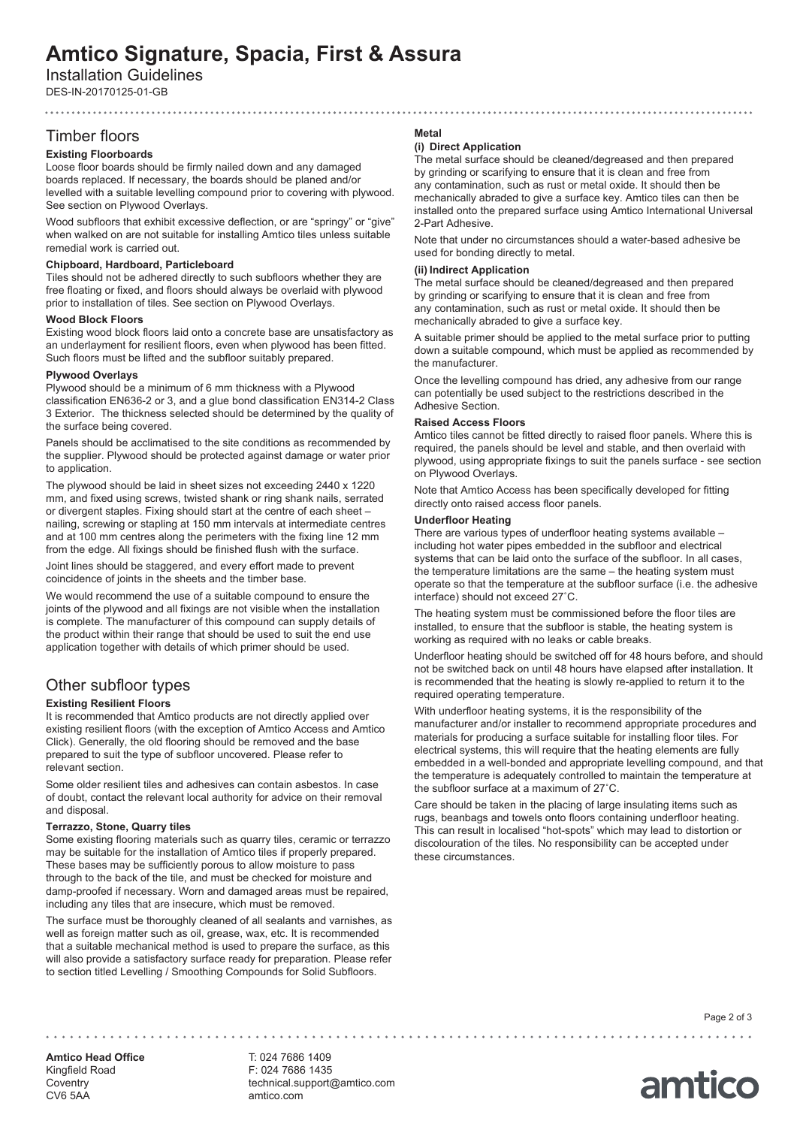# **Amtico Signature, Spacia, First & Assura**

Installation Guidelines

DES-IN-20170125-01-GB

# Timber floors

# **Existing Floorboards**

Loose floor boards should be firmly nailed down and any damaged boards replaced. If necessary, the boards should be planed and/or levelled with a suitable levelling compound prior to covering with plywood. See section on Plywood Overlays.

Wood subfloors that exhibit excessive deflection, or are "springy" or "give" when walked on are not suitable for installing Amtico tiles unless suitable remedial work is carried out.

### **Chipboard, Hardboard, Particleboard**

Tiles should not be adhered directly to such subfloors whether they are free floating or fixed, and floors should always be overlaid with plywood prior to installation of tiles. See section on Plywood Overlays.

### **Wood Block Floors**

Existing wood block floors laid onto a concrete base are unsatisfactory as an underlayment for resilient floors, even when plywood has been fitted. Such floors must be lifted and the subfloor suitably prepared.

### **Plywood Overlays**

Plywood should be a minimum of 6 mm thickness with a Plywood classification EN636-2 or 3, and a glue bond classification EN314-2 Class 3 Exterior. The thickness selected should be determined by the quality of the surface being covered.

Panels should be acclimatised to the site conditions as recommended by the supplier. Plywood should be protected against damage or water prior to application.

The plywood should be laid in sheet sizes not exceeding 2440 x 1220 mm, and fixed using screws, twisted shank or ring shank nails, serrated or divergent staples. Fixing should start at the centre of each sheet – nailing, screwing or stapling at 150 mm intervals at intermediate centres and at 100 mm centres along the perimeters with the fixing line 12 mm from the edge. All fixings should be finished flush with the surface.

Joint lines should be staggered, and every effort made to prevent coincidence of joints in the sheets and the timber base.

We would recommend the use of a suitable compound to ensure the joints of the plywood and all fixings are not visible when the installation is complete. The manufacturer of this compound can supply details of the product within their range that should be used to suit the end use application together with details of which primer should be used.

# Other subfloor types

### **Existing Resilient Floors**

It is recommended that Amtico products are not directly applied over existing resilient floors (with the exception of Amtico Access and Amtico Click). Generally, the old flooring should be removed and the base prepared to suit the type of subfloor uncovered. Please refer to relevant section.

Some older resilient tiles and adhesives can contain asbestos. In case of doubt, contact the relevant local authority for advice on their removal and disposal.

### **Terrazzo, Stone, Quarry tiles**

Some existing flooring materials such as quarry tiles, ceramic or terrazzo may be suitable for the installation of Amtico tiles if properly prepared. These bases may be sufficiently porous to allow moisture to pass through to the back of the tile, and must be checked for moisture and damp-proofed if necessary. Worn and damaged areas must be repaired, including any tiles that are insecure, which must be removed.

The surface must be thoroughly cleaned of all sealants and varnishes, as well as foreign matter such as oil, grease, wax, etc. It is recommended that a suitable mechanical method is used to prepare the surface, as this will also provide a satisfactory surface ready for preparation. Please refer to section titled Levelling / Smoothing Compounds for Solid Subfloors.

### **Metal**

### **(i) Direct Application**

The metal surface should be cleaned/degreased and then prepared by grinding or scarifying to ensure that it is clean and free from any contamination, such as rust or metal oxide. It should then be mechanically abraded to give a surface key. Amtico tiles can then be installed onto the prepared surface using Amtico International Universal 2-Part Adhesive.

Note that under no circumstances should a water-based adhesive be used for bonding directly to metal.

### **(ii) Indirect Application**

The metal surface should be cleaned/degreased and then prepared by grinding or scarifying to ensure that it is clean and free from any contamination, such as rust or metal oxide. It should then be mechanically abraded to give a surface key.

A suitable primer should be applied to the metal surface prior to putting down a suitable compound, which must be applied as recommended by the manufacturer.

Once the levelling compound has dried, any adhesive from our range can potentially be used subject to the restrictions described in the Adhesive Section.

### **Raised Access Floors**

Amtico tiles cannot be fitted directly to raised floor panels. Where this is required, the panels should be level and stable, and then overlaid with plywood, using appropriate fixings to suit the panels surface - see section on Plywood Overlays.

Note that Amtico Access has been specifically developed for fitting directly onto raised access floor panels.

### **Underfloor Heating**

There are various types of underfloor heating systems available – including hot water pipes embedded in the subfloor and electrical systems that can be laid onto the surface of the subfloor. In all cases, the temperature limitations are the same – the heating system must operate so that the temperature at the subfloor surface (i.e. the adhesive interface) should not exceed 27˚C.

The heating system must be commissioned before the floor tiles are installed, to ensure that the subfloor is stable, the heating system is working as required with no leaks or cable breaks.

Underfloor heating should be switched off for 48 hours before, and should not be switched back on until 48 hours have elapsed after installation. It is recommended that the heating is slowly re-applied to return it to the required operating temperature.

With underfloor heating systems, it is the responsibility of the manufacturer and/or installer to recommend appropriate procedures and materials for producing a surface suitable for installing floor tiles. For electrical systems, this will require that the heating elements are fully embedded in a well-bonded and appropriate levelling compound, and that the temperature is adequately controlled to maintain the temperature at the subfloor surface at a maximum of 27˚C.

Care should be taken in the placing of large insulating items such as rugs, beanbags and towels onto floors containing underfloor heating. This can result in localised "hot-spots" which may lead to distortion or discolouration of the tiles. No responsibility can be accepted under these circumstances.

Page 2 of 3

amtico

**Amtico Head Office** Kingfield Road **Coventry** CV6 5AA

F: 024 7686 1435 technical.support@amtico.com amtico.com

T: 024 7686 1409